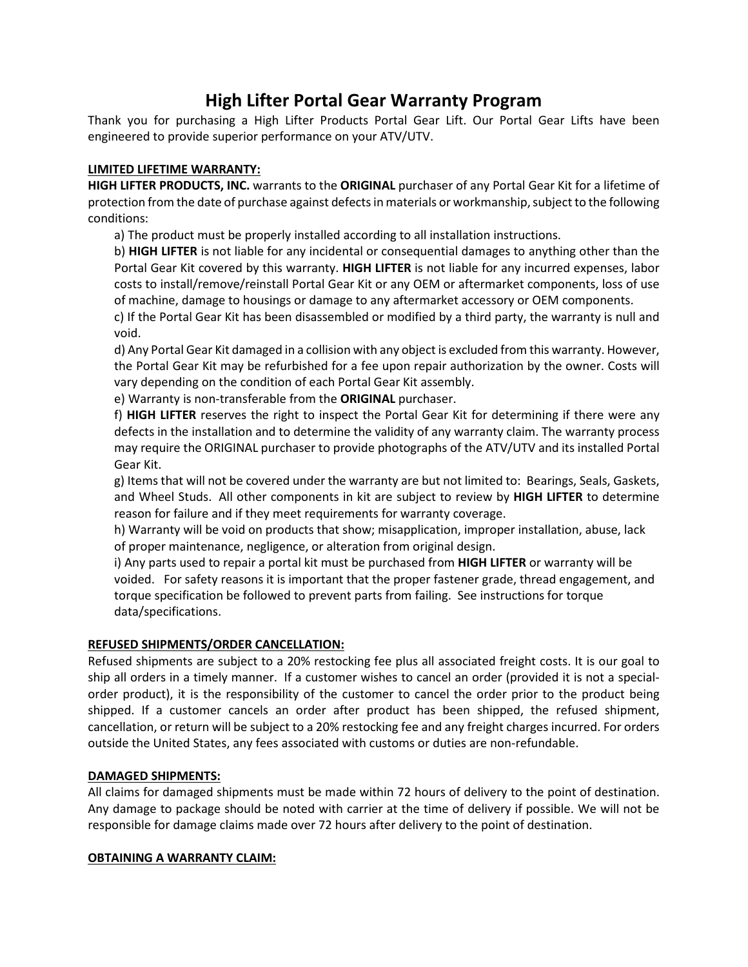# **High Lifter Portal Gear Warranty Program**

Thank you for purchasing a High Lifter Products Portal Gear Lift. Our Portal Gear Lifts have been engineered to provide superior performance on your ATV/UTV.

### **LIMITED LIFETIME WARRANTY:**

**HIGH LIFTER PRODUCTS, INC.** warrants to the **ORIGINAL** purchaser of any Portal Gear Kit for a lifetime of protection from the date of purchase against defects in materials or workmanship, subject to the following conditions:

a) The product must be properly installed according to all installation instructions.

b) **HIGH LIFTER** is not liable for any incidental or consequential damages to anything other than the Portal Gear Kit covered by this warranty. **HIGH LIFTER** is not liable for any incurred expenses, labor costs to install/remove/reinstall Portal Gear Kit or any OEM or aftermarket components, loss of use of machine, damage to housings or damage to any aftermarket accessory or OEM components.

c) If the Portal Gear Kit has been disassembled or modified by a third party, the warranty is null and void.

d) Any Portal Gear Kit damaged in a collision with any object is excluded from this warranty. However, the Portal Gear Kit may be refurbished for a fee upon repair authorization by the owner. Costs will vary depending on the condition of each Portal Gear Kit assembly.

e) Warranty is non-transferable from the **ORIGINAL** purchaser.

f) **HIGH LIFTER** reserves the right to inspect the Portal Gear Kit for determining if there were any defects in the installation and to determine the validity of any warranty claim. The warranty process may require the ORIGINAL purchaser to provide photographs of the ATV/UTV and its installed Portal Gear Kit.

g) Items that will not be covered under the warranty are but not limited to: Bearings, Seals, Gaskets, and Wheel Studs. All other components in kit are subject to review by **HIGH LIFTER** to determine reason for failure and if they meet requirements for warranty coverage.

h) Warranty will be void on products that show; misapplication, improper installation, abuse, lack of proper maintenance, negligence, or alteration from original design.

i) Any parts used to repair a portal kit must be purchased from **HIGH LIFTER** or warranty will be voided. For safety reasons it is important that the proper fastener grade, thread engagement, and torque specification be followed to prevent parts from failing. See instructions for torque data/specifications.

# **REFUSED SHIPMENTS/ORDER CANCELLATION:**

Refused shipments are subject to a 20% restocking fee plus all associated freight costs. It is our goal to ship all orders in a timely manner. If a customer wishes to cancel an order (provided it is not a specialorder product), it is the responsibility of the customer to cancel the order prior to the product being shipped. If a customer cancels an order after product has been shipped, the refused shipment, cancellation, or return will be subject to a 20% restocking fee and any freight charges incurred. For orders outside the United States, any fees associated with customs or duties are non-refundable.

# **DAMAGED SHIPMENTS:**

All claims for damaged shipments must be made within 72 hours of delivery to the point of destination. Any damage to package should be noted with carrier at the time of delivery if possible. We will not be responsible for damage claims made over 72 hours after delivery to the point of destination.

### **OBTAINING A WARRANTY CLAIM:**